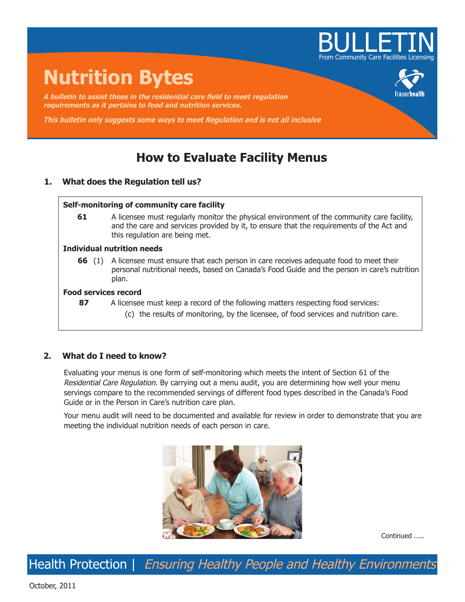

# **Nutrition Bytes**

**A bulletin to assist those in the residential care field to meet regulation requirements as it pertains to food and nutrition services.**

**This bulletin only suggests some ways to meet Regulation and is not all inclusive**

# **How to Evaluate Facility Menus**

# **1. What does the Regulation tell us?**

### **Self-monitoring of community care facility**

**61** A licensee must regularly monitor the physical environment of the community care facility, and the care and services provided by it, to ensure that the requirements of the Act and this regulation are being met.

### **Individual nutrition needs**

**66** (1) A licensee must ensure that each person in care receives adequate food to meet their personal nutritional needs, based on Canada's Food Guide and the person in care's nutrition plan.

# **Food services record**

- **87** A licensee must keep a record of the following matters respecting food services:
	- (c) the results of monitoring, by the licensee, of food services and nutrition care.

# **2. What do I need to know?**

Evaluating your menus is one form of self-monitoring which meets the intent of Section 61 of the Residential Care Regulation. By carrying out a menu audit, you are determining how well your menu servings compare to the recommended servings of different food types described in the Canada's Food Guide or in the Person in Care's nutrition care plan.

Your menu audit will need to be documented and available for review in order to demonstrate that you are meeting the individual nutrition needs of each person in care.



Continued .....

Health Protection | Ensuring Healthy People and Healthy Environments

October, 2011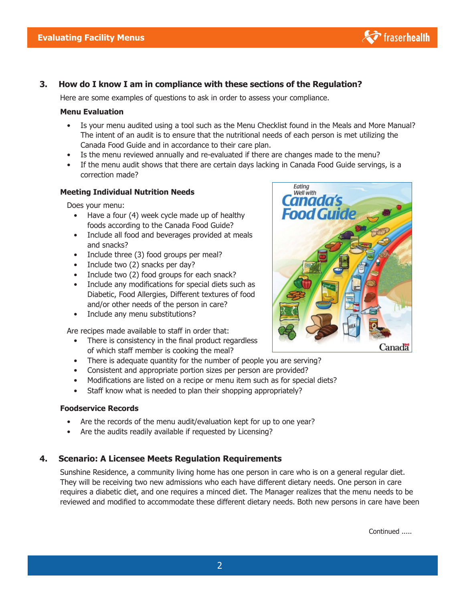

# **3. How do I know I am in compliance with these sections of the Regulation?**

Here are some examples of questions to ask in order to assess your compliance.

#### **Menu Evaluation**

- Is your menu audited using a tool such as the Menu Checklist found in the Meals and More Manual? The intent of an audit is to ensure that the nutritional needs of each person is met utilizing the Canada Food Guide and in accordance to their care plan.
- Is the menu reviewed annually and re-evaluated if there are changes made to the menu?
- If the menu audit shows that there are certain days lacking in Canada Food Guide servings, is a correction made?

#### **Meeting Individual Nutrition Needs**

Does your menu:

- Have a four (4) week cycle made up of healthy foods according to the Canada Food Guide?
- Include all food and beverages provided at meals and snacks?
- Include three (3) food groups per meal?
- Include two (2) snacks per day?
- Include two (2) food groups for each snack?
- Include any modifications for special diets such as Diabetic, Food Allergies, Different textures of food and/or other needs of the person in care?
- Include any menu substitutions?

Are recipes made available to staff in order that:

- There is consistency in the final product regardless of which staff member is cooking the meal?
- There is adequate quantity for the number of people you are serving?
- Consistent and appropriate portion sizes per person are provided?
- Modifications are listed on a recipe or menu item such as for special diets?
- Staff know what is needed to plan their shopping appropriately?

#### **Foodservice Records**

- Are the records of the menu audit/evaluation kept for up to one year?
- Are the audits readily available if requested by Licensing?

# **4. Scenario: A Licensee Meets Regulation Requirements**

Sunshine Residence, a community living home has one person in care who is on a general regular diet. They will be receiving two new admissions who each have different dietary needs. One person in care requires a diabetic diet, and one requires a minced diet. The Manager realizes that the menu needs to be reviewed and modified to accommodate these different dietary needs. Both new persons in care have been



Continued .....